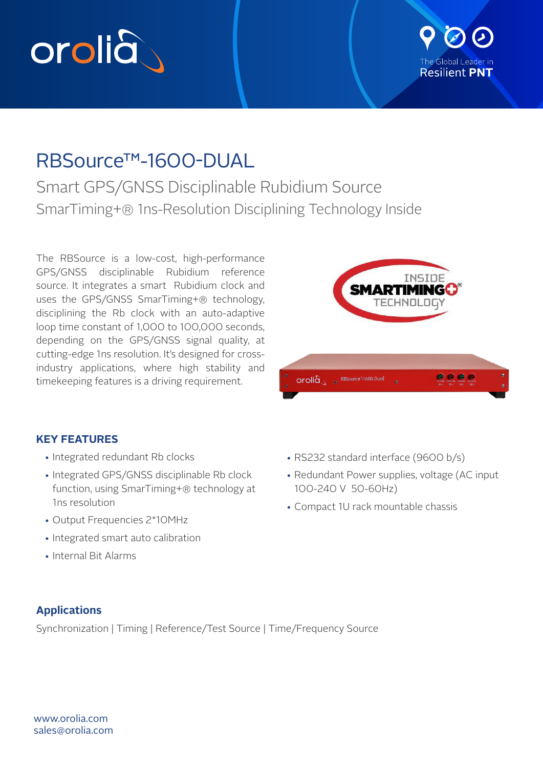



# RBSource™-1600-DUAL

Smart GPS/GNSS Disciplinable Rubidium Source SmarTiming+® 1ns-Resolution Disciplining Technology Inside

The RBSource is a low-cost, high-performance GPS/GNSS disciplinable Rubidium reference source. It integrates a smart Rubidium clock and uses the GPS/GNSS SmarTiming+® technology, disciplining the Rb clock with an auto-adaptive loop time constant of 1,000 to 100,000 seconds, depending on the GPS/GNSS signal quality, at cutting-edge 1ns resolution. It's designed for crossindustry applications, where high stability and timekeeping features is a driving requirement.



# **KEY FEATURES**

- Integrated redundant Rb clocks
- Integrated GPS/GNSS disciplinable Rb clock function, using SmarTiming+® technology at 1ns resolution
- Output Frequencies 2\*10MHz
- Integrated smart auto calibration
- Internal Bit Alarms
- RS232 standard interface (9600 b/s)
- Redundant Power supplies, voltage (AC input 100-240 V 50-60Hz)
- Compact 1U rack mountable chassis

# **Applications**

Synchronization | Timing | Reference/Test Source | Time/Frequency Source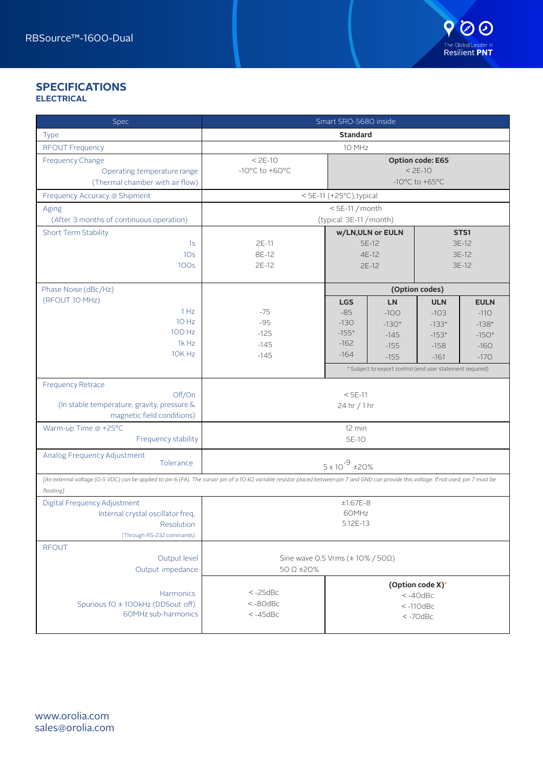# **SPECIFICATIONS ELECTRICAL**

| Spec                                                                                                                                                                                                    |                                                   | Smart SRO-5680 inside                |                                                           |                  |             |  |
|---------------------------------------------------------------------------------------------------------------------------------------------------------------------------------------------------------|---------------------------------------------------|--------------------------------------|-----------------------------------------------------------|------------------|-------------|--|
| <b>Type</b>                                                                                                                                                                                             |                                                   | <b>Standard</b>                      |                                                           |                  |             |  |
| <b>RFOUT Frequency</b>                                                                                                                                                                                  |                                                   | 10 MHz                               |                                                           |                  |             |  |
| <b>Frequency Change</b>                                                                                                                                                                                 | $< 2E-10$<br><b>Option code: E65</b>              |                                      |                                                           |                  |             |  |
| Operating temperature range                                                                                                                                                                             | -10 $^{\circ}$ C to +60 $^{\circ}$ C<br>$< 2E-10$ |                                      |                                                           |                  |             |  |
| (Thermal chamber with air flow)                                                                                                                                                                         |                                                   | -10 $^{\circ}$ C to +65 $^{\circ}$ C |                                                           |                  |             |  |
| Frequency Accuracy @ Shipment                                                                                                                                                                           |                                                   | < 5E-11 (+25°C), typical             |                                                           |                  |             |  |
| Aging                                                                                                                                                                                                   | $<$ 5E-11 / month                                 |                                      |                                                           |                  |             |  |
| (After 3 months of continuous operation)                                                                                                                                                                |                                                   | (typical: 3E-11 / month)             |                                                           |                  |             |  |
| Short Term Stability                                                                                                                                                                                    |                                                   | STS1<br>w/LN, ULN or EULN            |                                                           |                  |             |  |
| 1s                                                                                                                                                                                                      | 2E-11                                             |                                      | 5E-12                                                     |                  | 3E-12       |  |
| 10 <sub>s</sub>                                                                                                                                                                                         | 8E-12                                             |                                      | 4E-12                                                     |                  | 3E-12       |  |
| 100s                                                                                                                                                                                                    | 2E-12                                             |                                      | $2E-12$                                                   |                  | 3E-12       |  |
|                                                                                                                                                                                                         |                                                   |                                      |                                                           |                  |             |  |
| Phase Noise (dBc/Hz)                                                                                                                                                                                    |                                                   |                                      |                                                           | (Option codes)   |             |  |
| (RFOUT 10 MHz)                                                                                                                                                                                          |                                                   | <b>LGS</b>                           | <b>LN</b>                                                 | <b>ULN</b>       | <b>EULN</b> |  |
| 1 Hz                                                                                                                                                                                                    | $-75$                                             | $-85$                                | $-100$                                                    | $-103$           | $-110$      |  |
| 10 Hz                                                                                                                                                                                                   | $-95$                                             | $-130$                               | $-130*$                                                   | $-133*$          | $-138*$     |  |
| 100 Hz                                                                                                                                                                                                  | $-125$                                            | $-155*$                              | $-145$                                                    | $-153*$          | $-150*$     |  |
| 1k Hz                                                                                                                                                                                                   | $-145$                                            | $-162$                               | $-155$                                                    | $-158$           | $-160$      |  |
| 10K Hz                                                                                                                                                                                                  | $-145$                                            | $-164$                               | $-155$                                                    | $-161$           | $-170$      |  |
|                                                                                                                                                                                                         |                                                   |                                      | * Subject to export control (end user statement required) |                  |             |  |
| <b>Frequency Retrace</b>                                                                                                                                                                                |                                                   |                                      |                                                           |                  |             |  |
| Off/On                                                                                                                                                                                                  |                                                   | $< 5E-11$                            |                                                           |                  |             |  |
| (In stable temperature, gravity, pressure &                                                                                                                                                             | 24 hr / 1 hr                                      |                                      |                                                           |                  |             |  |
| magnetic field conditions)                                                                                                                                                                              |                                                   |                                      |                                                           |                  |             |  |
| Warm-up Time @ +25°C                                                                                                                                                                                    | 12 min                                            |                                      |                                                           |                  |             |  |
| Frequency stability                                                                                                                                                                                     | 5E-10                                             |                                      |                                                           |                  |             |  |
| Analog Frequency Adjustment                                                                                                                                                                             |                                                   |                                      |                                                           |                  |             |  |
| Tolerance                                                                                                                                                                                               |                                                   | $5 \times 10^{-9}$ ±20%              |                                                           |                  |             |  |
| [An external voltage (O-5 VDC) can be applied to pin 6 (FA). The cursor pin of a 10 kΩ variable resistor placed between pin 7 and GND can provide this voltage. If not used, pin 7 must be<br>floating] |                                                   |                                      |                                                           |                  |             |  |
| Digital Frequency Adjustment                                                                                                                                                                            |                                                   | $±1.67E-8$                           |                                                           |                  |             |  |
| Internal crystal oscillator freq.                                                                                                                                                                       |                                                   | 60MHz                                |                                                           |                  |             |  |
| Resolution                                                                                                                                                                                              |                                                   | 5.12E-13                             |                                                           |                  |             |  |
| (Through RS-232 commands)                                                                                                                                                                               |                                                   |                                      |                                                           |                  |             |  |
| <b>RFOUT</b>                                                                                                                                                                                            |                                                   |                                      |                                                           |                  |             |  |
| Output level                                                                                                                                                                                            | Sine wave 0.5 Vrms ( $\pm$ 10% / 50 $\Omega$ )    |                                      |                                                           |                  |             |  |
| Output impedance                                                                                                                                                                                        | 50 $\Omega$ ±20%                                  |                                      |                                                           |                  |             |  |
|                                                                                                                                                                                                         |                                                   |                                      |                                                           | (Option code X)* |             |  |
| Harmonics                                                                                                                                                                                               | $< -25$ d $Bc$                                    |                                      |                                                           | $< -40$ d $Bc$   |             |  |
| Spurious fO ± 100kHz (DDSout off)                                                                                                                                                                       | $< -80$ d $Bc$                                    |                                      |                                                           | $< -110$ d $Bc$  |             |  |
| 60MHz sub-harmonics                                                                                                                                                                                     | $< -45$ d $Bc$                                    |                                      |                                                           | $< -70$ d $Bc$   |             |  |
|                                                                                                                                                                                                         |                                                   |                                      |                                                           |                  |             |  |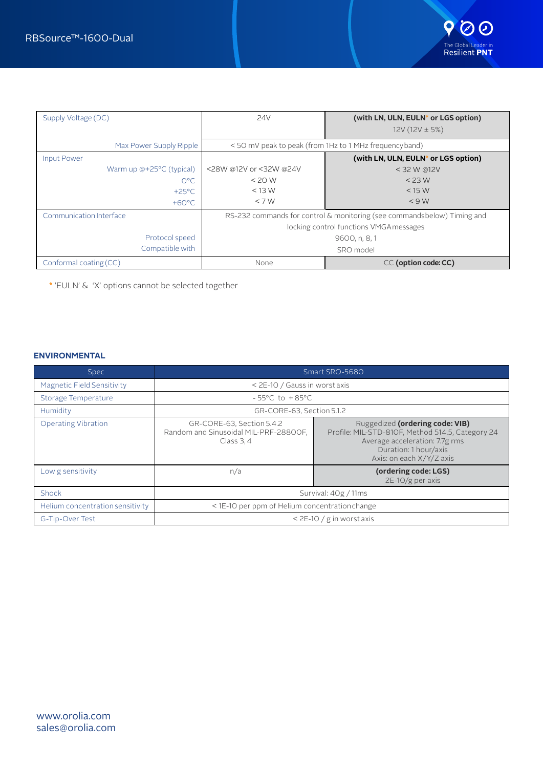

| Supply Voltage (DC)      | 24V                                     | (with LN, ULN, EULN* or LGS option)                                     |  |
|--------------------------|-----------------------------------------|-------------------------------------------------------------------------|--|
|                          |                                         | $12V(12V \pm 5%)$                                                       |  |
| Max Power Supply Ripple  |                                         | <50 mV peak to peak (from 1Hz to 1 MHz frequency band)                  |  |
| <b>Input Power</b>       |                                         | (with LN, ULN, EULN* or LGS option)                                     |  |
| Warm up @+25°C (typical) | <28W @12V or <32W @24V                  | < 32 W @12V                                                             |  |
| $O^{\circ}C$             | $<$ 20 W                                | $<$ 23 W                                                                |  |
| $+25^{\circ}$ C          | $<$ 13 W                                | $<$ 15 W                                                                |  |
| $+60^{\circ}$ C          | $<$ 7 W                                 | < 9 W                                                                   |  |
| Communication Interface  |                                         | RS-232 commands for control & monitoring (see commandsbelow) Timing and |  |
|                          | locking control functions VMGA messages |                                                                         |  |
| Protocol speed           | 9600, n, 8, 1                           |                                                                         |  |
| Compatible with          | SRO model                               |                                                                         |  |
| Conformal coating (CC)   | None                                    | CC (option code: CC)                                                    |  |

\* 'EULN' & 'X' options cannot be selected together

# **ENVIRONMENTAL**

| <b>Spec</b>                       | Smart SRO-5680                                                                   |                                                                                                                                                                            |  |  |  |  |
|-----------------------------------|----------------------------------------------------------------------------------|----------------------------------------------------------------------------------------------------------------------------------------------------------------------------|--|--|--|--|
| <b>Magnetic Field Sensitivity</b> | < 2E-10 / Gauss in worst axis                                                    |                                                                                                                                                                            |  |  |  |  |
| Storage Temperature               | $-55^{\circ}$ C to $+85^{\circ}$ C                                               |                                                                                                                                                                            |  |  |  |  |
| Humidity                          | GR-CORE-63, Section 5.1.2                                                        |                                                                                                                                                                            |  |  |  |  |
| <b>Operating Vibration</b>        | GR-CORE-63, Section 5.4.2<br>Random and Sinusoidal MIL-PRF-28800F,<br>Class 3, 4 | Ruggedized (ordering code: VIB)<br>Profile: MIL-STD-810F, Method 514.5, Category 24<br>Average acceleration: 7.7g rms<br>Duration: 1 hour/axis<br>Axis: on each X/Y/Z axis |  |  |  |  |
| Low g sensitivity                 | n/a                                                                              | (ordering code: LGS)<br>$2E-10/g$ per axis                                                                                                                                 |  |  |  |  |
| Shock                             | Survival: 40g / 11ms                                                             |                                                                                                                                                                            |  |  |  |  |
| Helium concentration sensitivity  | < 1E-10 per ppm of Helium concentration change                                   |                                                                                                                                                                            |  |  |  |  |
| G-Tip-Over Test                   |                                                                                  | $<$ 2E-10 / g in worst axis                                                                                                                                                |  |  |  |  |